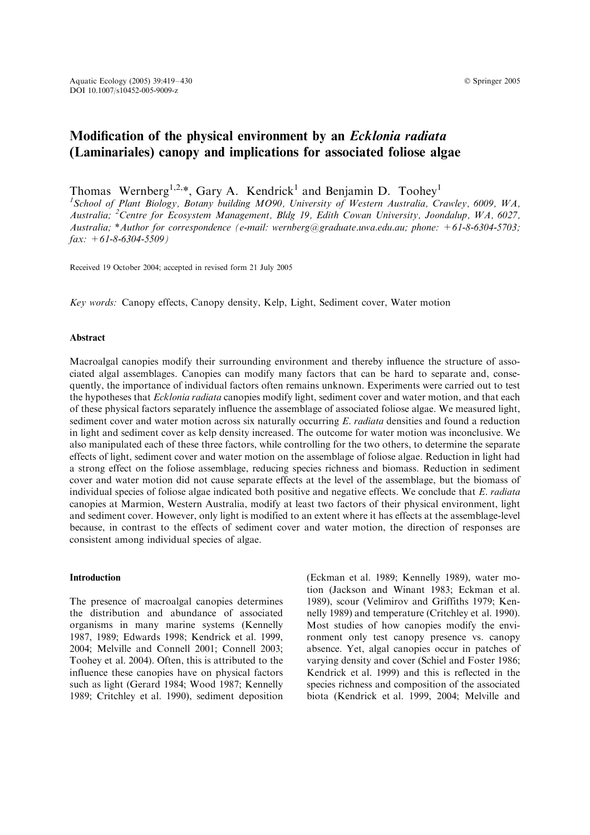# Modification of the physical environment by an Ecklonia radiata (Laminariales) canopy and implications for associated foliose algae

Thomas Wernberg<sup>1,2,\*</sup>, Gary A. Kendrick<sup>1</sup> and Benjamin D. Toohey<sup>1</sup>

<sup>1</sup>School of Plant Biology, Botany building MO90, University of Western Australia, Crawley, 6009, WA, Australia; <sup>2</sup> Centre for Ecosystem Management, Bldg 19, Edith Cowan University, Joondalup, WA, 6027, Australia; \*Author for correspondence (e-mail: wernberg@graduate.uwa.edu.au; phone: +61-8-6304-5703;  $\text{fax:} +61 - 8 - 6304 - 5509$ 

Received 19 October 2004; accepted in revised form 21 July 2005

Key words: Canopy effects, Canopy density, Kelp, Light, Sediment cover, Water motion

### Abstract

Macroalgal canopies modify their surrounding environment and thereby influence the structure of associated algal assemblages. Canopies can modify many factors that can be hard to separate and, consequently, the importance of individual factors often remains unknown. Experiments were carried out to test the hypotheses that Ecklonia radiata canopies modify light, sediment cover and water motion, and that each of these physical factors separately influence the assemblage of associated foliose algae. We measured light, sediment cover and water motion across six naturally occurring E. radiata densities and found a reduction in light and sediment cover as kelp density increased. The outcome for water motion was inconclusive. We also manipulated each of these three factors, while controlling for the two others, to determine the separate effects of light, sediment cover and water motion on the assemblage of foliose algae. Reduction in light had a strong effect on the foliose assemblage, reducing species richness and biomass. Reduction in sediment cover and water motion did not cause separate effects at the level of the assemblage, but the biomass of individual species of foliose algae indicated both positive and negative effects. We conclude that E. radiata canopies at Marmion, Western Australia, modify at least two factors of their physical environment, light and sediment cover. However, only light is modified to an extent where it has effects at the assemblage-level because, in contrast to the effects of sediment cover and water motion, the direction of responses are consistent among individual species of algae.

## Introduction

The presence of macroalgal canopies determines the distribution and abundance of associated organisms in many marine systems (Kennelly 1987, 1989; Edwards 1998; Kendrick et al. 1999, 2004; Melville and Connell 2001; Connell 2003; Toohey et al. 2004). Often, this is attributed to the influence these canopies have on physical factors such as light (Gerard 1984; Wood 1987; Kennelly 1989; Critchley et al. 1990), sediment deposition

(Eckman et al. 1989; Kennelly 1989), water motion (Jackson and Winant 1983; Eckman et al. 1989), scour (Velimirov and Griffiths 1979; Kennelly 1989) and temperature (Critchley et al. 1990). Most studies of how canopies modify the environment only test canopy presence vs. canopy absence. Yet, algal canopies occur in patches of varying density and cover (Schiel and Foster 1986; Kendrick et al. 1999) and this is reflected in the species richness and composition of the associated biota (Kendrick et al. 1999, 2004; Melville and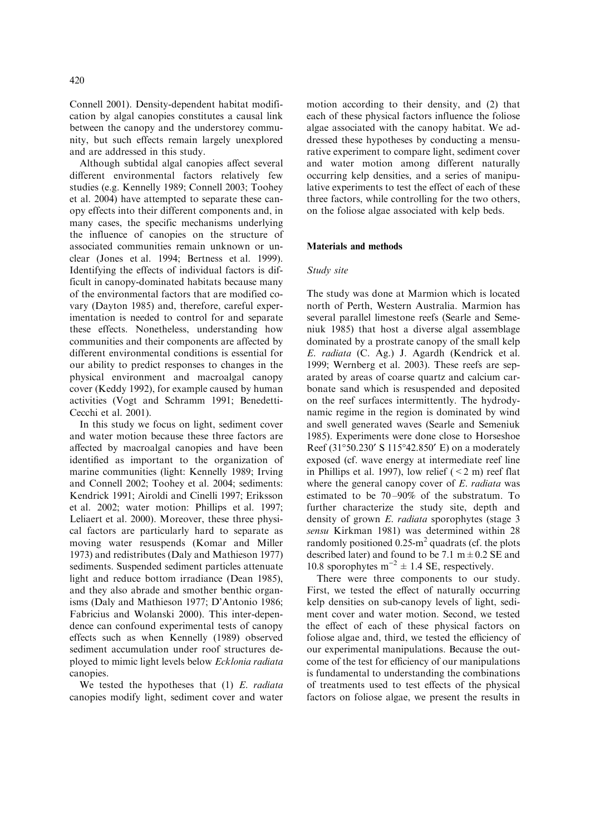Connell 2001). Density-dependent habitat modification by algal canopies constitutes a causal link between the canopy and the understorey community, but such effects remain largely unexplored and are addressed in this study.

Although subtidal algal canopies affect several different environmental factors relatively few studies (e.g. Kennelly 1989; Connell 2003; Toohey et al. 2004) have attempted to separate these canopy effects into their different components and, in many cases, the specific mechanisms underlying the influence of canopies on the structure of associated communities remain unknown or unclear (Jones et al. 1994; Bertness et al. 1999). Identifying the effects of individual factors is difficult in canopy-dominated habitats because many of the environmental factors that are modified covary (Dayton 1985) and, therefore, careful experimentation is needed to control for and separate these effects. Nonetheless, understanding how communities and their components are affected by different environmental conditions is essential for our ability to predict responses to changes in the physical environment and macroalgal canopy cover (Keddy 1992), for example caused by human activities (Vogt and Schramm 1991; Benedetti-Cecchi et al. 2001).

In this study we focus on light, sediment cover and water motion because these three factors are affected by macroalgal canopies and have been identified as important to the organization of marine communities (light: Kennelly 1989; Irving and Connell 2002; Toohey et al. 2004; sediments: Kendrick 1991; Airoldi and Cinelli 1997; Eriksson et al. 2002; water motion: Phillips et al. 1997; Leliaert et al. 2000). Moreover, these three physical factors are particularly hard to separate as moving water resuspends (Komar and Miller 1973) and redistributes (Daly and Mathieson 1977) sediments. Suspended sediment particles attenuate light and reduce bottom irradiance (Dean 1985), and they also abrade and smother benthic organisms (Daly and Mathieson 1977; D'Antonio 1986; Fabricius and Wolanski 2000). This inter-dependence can confound experimental tests of canopy effects such as when Kennelly (1989) observed sediment accumulation under roof structures deployed to mimic light levels below Ecklonia radiata canopies.

We tested the hypotheses that  $(1)$  E. radiata canopies modify light, sediment cover and water

motion according to their density, and (2) that each of these physical factors influence the foliose algae associated with the canopy habitat. We addressed these hypotheses by conducting a mensurative experiment to compare light, sediment cover and water motion among different naturally occurring kelp densities, and a series of manipulative experiments to test the effect of each of these three factors, while controlling for the two others, on the foliose algae associated with kelp beds.

## Materials and methods

#### Study site

The study was done at Marmion which is located north of Perth, Western Australia. Marmion has several parallel limestone reefs (Searle and Semeniuk 1985) that host a diverse algal assemblage dominated by a prostrate canopy of the small kelp E. radiata (C. Ag.) J. Agardh (Kendrick et al. 1999; Wernberg et al. 2003). These reefs are separated by areas of coarse quartz and calcium carbonate sand which is resuspended and deposited on the reef surfaces intermittently. The hydrodynamic regime in the region is dominated by wind and swell generated waves (Searle and Semeniuk 1985). Experiments were done close to Horseshoe Reef (31°50.230' S 115°42.850' E) on a moderately exposed (cf. wave energy at intermediate reef line in Phillips et al. 1997), low relief  $(< 2 m)$  reef flat where the general canopy cover of  $E$ . *radiata* was estimated to be 70 –90*%* of the substratum. To further characterize the study site, depth and density of grown E. *radiata* sporophytes (stage 3 sensu Kirkman 1981) was determined within 28 randomly positioned  $0.25 \text{ m}^2$  quadrats (cf. the plots described later) and found to be 7.1  $m \pm 0.2$  SE and 10.8 sporophytes  $m^{-2} \pm 1.4$  SE, respectively.

There were three components to our study. First, we tested the effect of naturally occurring kelp densities on sub-canopy levels of light, sediment cover and water motion. Second, we tested the effect of each of these physical factors on foliose algae and, third, we tested the efficiency of our experimental manipulations. Because the outcome of the test for efficiency of our manipulations is fundamental to understanding the combinations of treatments used to test effects of the physical factors on foliose algae, we present the results in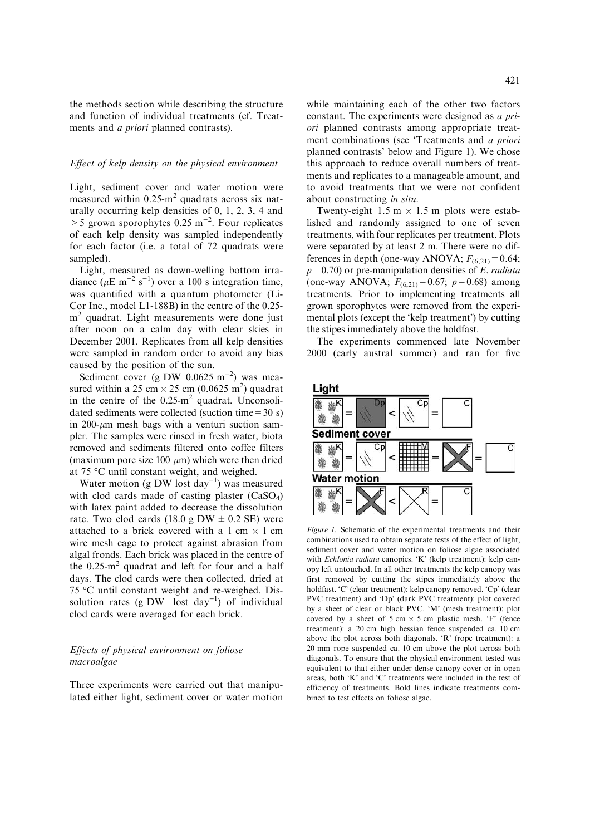the methods section while describing the structure and function of individual treatments (cf. Treatments and a priori planned contrasts).

## Effect of kelp density on the physical environment

Light, sediment cover and water motion were measured within  $0.25 \text{m}^2$  quadrats across six naturally occurring kelp densities of 0, 1, 2, 3, 4 and  $>$  5 grown sporophytes 0.25 m<sup>-2</sup>. Four replicates of each kelp density was sampled independently for each factor (i.e. a total of 72 quadrats were sampled).

Light, measured as down-welling bottom irradiance ( $\mu$ E m<sup>-2</sup> s<sup>-1</sup>) over a 100 s integration time, was quantified with a quantum photometer (Li-Cor Inc., model L1-188B) in the centre of the 0.25 m<sup>2</sup> quadrat. Light measurements were done just after noon on a calm day with clear skies in December 2001. Replicates from all kelp densities were sampled in random order to avoid any bias caused by the position of the sun.

Sediment cover (g DW  $0.0625 \text{ m}^{-2}$ ) was measured within a 25 cm  $\times$  25 cm (0.0625 m<sup>2</sup>) quadrat in the centre of the  $0.25 \text{--} m^2$  quadrat. Unconsolidated sediments were collected (suction time  $=$  30 s) in 200- $\mu$ m mesh bags with a venturi suction sampler. The samples were rinsed in fresh water, biota removed and sediments filtered onto coffee filters (maximum pore size 100  $\mu$ m) which were then dried at 75 °C until constant weight, and weighed.

Water motion (g DW lost day<sup>-1</sup>) was measured with clod cards made of casting plaster (CaSO<sub>4</sub>) with latex paint added to decrease the dissolution rate. Two clod cards (18.0 g DW  $\pm$  0.2 SE) were attached to a brick covered with a 1 cm  $\times$  1 cm wire mesh cage to protect against abrasion from algal fronds. Each brick was placed in the centre of the  $0.25 \text{ m}^2$  quadrat and left for four and a half days. The clod cards were then collected, dried at 75 °C until constant weight and re-weighed. Dissolution rates (g DW lost day<sup>-1</sup>) of individual clod cards were averaged for each brick.

# Effects of physical environment on foliose macroalgae

Three experiments were carried out that manipulated either light, sediment cover or water motion while maintaining each of the other two factors constant. The experiments were designed as a priori planned contrasts among appropriate treatment combinations (see 'Treatments and a priori planned contrasts' below and Figure 1). We chose this approach to reduce overall numbers of treatments and replicates to a manageable amount, and to avoid treatments that we were not confident about constructing in situ.

Twenty-eight  $1.5 \text{ m} \times 1.5 \text{ m}$  plots were established and randomly assigned to one of seven treatments, with four replicates per treatment. Plots were separated by at least 2 m. There were no differences in depth (one-way ANOVA;  $F_{(6,21)}=0.64$ ;  $p=0.70$ ) or pre-manipulation densities of E. radiata (one-way ANOVA;  $F_{(6,21)}=0.67$ ;  $p=0.68$ ) among treatments. Prior to implementing treatments all grown sporophytes were removed from the experimental plots (except the 'kelp treatment') by cutting the stipes immediately above the holdfast.

The experiments commenced late November 2000 (early austral summer) and ran for five



Figure 1. Schematic of the experimental treatments and their combinations used to obtain separate tests of the effect of light, sediment cover and water motion on foliose algae associated with Ecklonia radiata canopies. 'K' (kelp treatment): kelp canopy left untouched. In all other treatments the kelp canopy was first removed by cutting the stipes immediately above the holdfast. 'C' (clear treatment): kelp canopy removed. 'Cp' (clear PVC treatment) and 'Dp' (dark PVC treatment): plot covered by a sheet of clear or black PVC. 'M' (mesh treatment): plot covered by a sheet of 5 cm  $\times$  5 cm plastic mesh. 'F' (fence treatment): a 20 cm high hessian fence suspended ca. 10 cm above the plot across both diagonals. 'R' (rope treatment): a 20 mm rope suspended ca. 10 cm above the plot across both diagonals. To ensure that the physical environment tested was equivalent to that either under dense canopy cover or in open areas, both 'K' and 'C' treatments were included in the test of efficiency of treatments. Bold lines indicate treatments combined to test effects on foliose algae.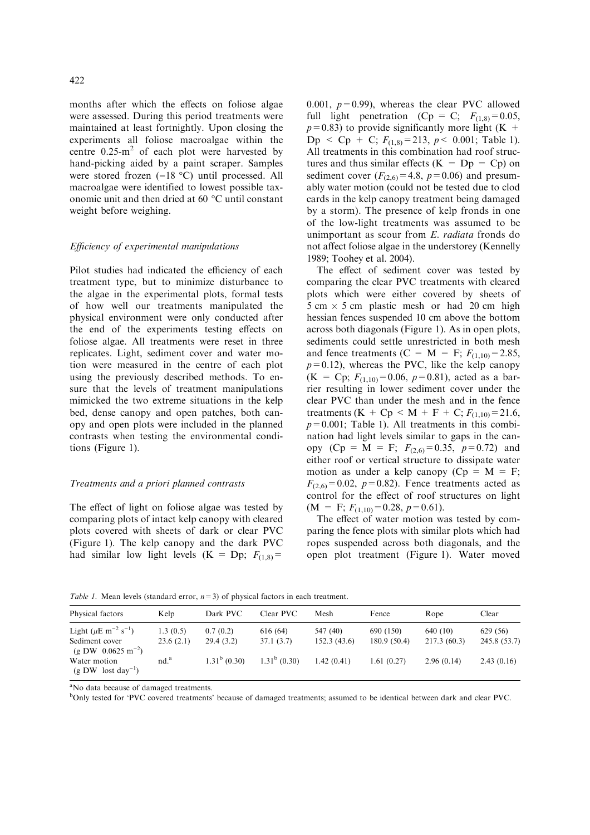months after which the effects on foliose algae were assessed. During this period treatments were maintained at least fortnightly. Upon closing the experiments all foliose macroalgae within the centre  $0.25 \text{--} m^2$  of each plot were harvested by hand-picking aided by a paint scraper. Samples were stored frozen  $(-18 \degree C)$  until processed. All macroalgae were identified to lowest possible taxonomic unit and then dried at 60 $\degree$ C until constant weight before weighing.

#### Efficiency of experimental manipulations

Pilot studies had indicated the efficiency of each treatment type, but to minimize disturbance to the algae in the experimental plots, formal tests of how well our treatments manipulated the physical environment were only conducted after the end of the experiments testing effects on foliose algae. All treatments were reset in three replicates. Light, sediment cover and water motion were measured in the centre of each plot using the previously described methods. To ensure that the levels of treatment manipulations mimicked the two extreme situations in the kelp bed, dense canopy and open patches, both canopy and open plots were included in the planned contrasts when testing the environmental conditions (Figure 1).

#### Treatments and a priori planned contrasts

The effect of light on foliose algae was tested by comparing plots of intact kelp canopy with cleared plots covered with sheets of dark or clear PVC (Figure 1). The kelp canopy and the dark PVC had similar low light levels  $(K = Dp; F_{(1,8)} =$ 

0.001,  $p=0.99$ ), whereas the clear PVC allowed full light penetration (Cp = C;  $F_{(1,8)}=0.05$ ,  $p=0.83$ ) to provide significantly more light (K +  $Dp < Cp + C; F_{(1,8)} = 213, p < 0.001;$  Table 1). All treatments in this combination had roof structures and thus similar effects  $(K = Dp = Cp)$  on sediment cover  $(F_{(2,6)}=4.8, p=0.06)$  and presumably water motion (could not be tested due to clod cards in the kelp canopy treatment being damaged by a storm). The presence of kelp fronds in one of the low-light treatments was assumed to be unimportant as scour from E. *radiata* fronds do not affect foliose algae in the understorey (Kennelly 1989; Toohey et al. 2004).

The effect of sediment cover was tested by comparing the clear PVC treatments with cleared plots which were either covered by sheets of  $5 \text{ cm} \times 5 \text{ cm}$  plastic mesh or had 20 cm high hessian fences suspended 10 cm above the bottom across both diagonals (Figure 1). As in open plots, sediments could settle unrestricted in both mesh and fence treatments (C = M = F;  $F_{(1,10)} = 2.85$ ,  $p=0.12$ ), whereas the PVC, like the kelp canopy  $(K = Cp; F_{(1,10)} = 0.06, p = 0.81)$ , acted as a barrier resulting in lower sediment cover under the clear PVC than under the mesh and in the fence treatments (K + Cp < M + F + C;  $F_{(1,10)} = 21.6$ ,  $p=0.001$ ; Table 1). All treatments in this combination had light levels similar to gaps in the canopy (Cp = M = F;  $F_{(2,6)} = 0.35$ ,  $p = 0.72$ ) and either roof or vertical structure to dissipate water motion as under a kelp canopy  $(Cp = M = F;$  $F<sub>(2,6)</sub> = 0.02$ ,  $p = 0.82$ ). Fence treatments acted as control for the effect of roof structures on light  $(M = F; F<sub>(1,10)</sub> = 0.28, p = 0.61).$ 

The effect of water motion was tested by comparing the fence plots with similar plots which had ropes suspended across both diagonals, and the open plot treatment (Figure 1). Water moved

Table 1. Mean levels (standard error,  $n=3$ ) of physical factors in each treatment.

| Physical factors                                  | Kelp             | Dark PVC       | Clear PVC      | Mesh        | Fence       | Rope        | Clear        |
|---------------------------------------------------|------------------|----------------|----------------|-------------|-------------|-------------|--------------|
|                                                   |                  |                |                |             |             |             |              |
| Light ( $\mu$ E m <sup>-2</sup> s <sup>-1</sup> ) | 1.3(0.5)         | 0.7(0.2)       | 616(64)        | 547 (40)    | 690 (150)   | 640 (10)    | 629 (56)     |
| Sediment cover<br>(g DW $0.0625 \text{ m}^{-2}$ ) | 23.6(2.1)        | 29.4(3.2)      | 37.1(3.7)      | 152.3(43.6) | 180.9(50.4) | 217.3(60.3) | 245.8 (53.7) |
| Water motion<br>$(g DW$ lost day <sup>-1</sup> )  | nd. <sup>a</sup> | $1.31b$ (0.30) | $1.31b$ (0.30) | 1.42(0.41)  | 1.61(0.27)  | 2.96(0.14)  | 2.43(0.16)   |

<sup>a</sup>No data because of damaged treatments.

<sup>b</sup>Only tested for 'PVC covered treatments' because of damaged treatments; assumed to be identical between dark and clear PVC.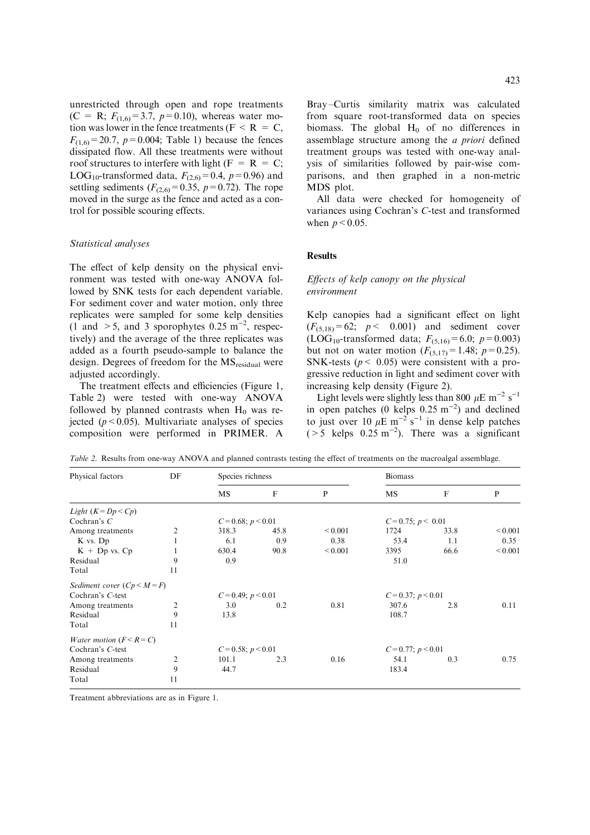unrestricted through open and rope treatments (C = R;  $F_{(1,6)} = 3.7$ ,  $p = 0.10$ ), whereas water motion was lower in the fence treatments ( $F < R = C$ ,  $F_{(1,6)} = 20.7$ ,  $p = 0.004$ ; Table 1) because the fences dissipated flow. All these treatments were without roof structures to interfere with light  $(F = R = C;$ LOG<sub>10</sub>-transformed data,  $F_{(2,6)} = 0.4$ ,  $p = 0.96$ ) and settling sediments  $(F_{(2,6)}=0.35, p=0.72)$ . The rope moved in the surge as the fence and acted as a control for possible scouring effects.

## Statistical analyses

The effect of kelp density on the physical environment was tested with one-way ANOVA followed by SNK tests for each dependent variable. For sediment cover and water motion, only three replicates were sampled for some kelp densities  $(1 \text{ and } > 5, \text{ and } 3 \text{ sporophytes } 0.25 \text{ m}^{-2}, \text{ respec-}$ tively) and the average of the three replicates was added as a fourth pseudo-sample to balance the design. Degrees of freedom for the MS<sub>residual</sub> were adjusted accordingly.

The treatment effects and efficiencies (Figure 1, Table 2) were tested with one-way ANOVA followed by planned contrasts when  $H_0$  was rejected ( $p < 0.05$ ). Multivariate analyses of species composition were performed in PRIMER. A

Bray –Curtis similarity matrix was calculated from square root-transformed data on species biomass. The global  $H_0$  of no differences in assemblage structure among the a priori defined treatment groups was tested with one-way analysis of similarities followed by pair-wise comparisons, and then graphed in a non-metric MDS plot.

All data were checked for homogeneity of variances using Cochran's C-test and transformed when  $p < 0.05$ .

## **Results**

# Effects of kelp canopy on the physical environment

Kelp canopies had a significant effect on light  $(F_{(5,18)}=62; p < 0.001)$  and sediment cover (LOG<sub>10</sub>-transformed data;  $F_{(5,16)}=6.0; p=0.003$ ) but not on water motion  $(F_{(5,17)}=1.48; p=0.25)$ . SNK-tests ( $p < 0.05$ ) were consistent with a progressive reduction in light and sediment cover with increasing kelp density (Figure 2).

Light levels were slightly less than 800  $\mu$ E m<sup>-2</sup> s<sup>-1</sup> in open patches (0 kelps  $0.25 \text{ m}^{-2}$ ) and declined to just over 10  $\mu$ E m<sup>-2</sup> s<sup>-1</sup> in dense kelp patches  $($ >5 kelps 0.25 m<sup>-2</sup>). There was a significant

Table 2. Results from one-way ANOVA and planned contrasts testing the effect of treatments on the macroalgal assemblage.

| Physical factors                  | DF             | Species richness        |             |                    | <b>Biomass</b>          |              |              |
|-----------------------------------|----------------|-------------------------|-------------|--------------------|-------------------------|--------------|--------------|
|                                   |                | MS                      | $\mathbf F$ | $\mathbf{P}$       | <b>MS</b>               | $\mathbf{F}$ | P            |
| Light $(K = Dp < Cp)$             |                |                         |             |                    |                         |              |              |
| Cochran's $C$                     |                | $C = 0.68; p < 0.01$    |             | $C=0.75; p < 0.01$ |                         |              |              |
| Among treatments                  | 2              | 318.3                   | 45.8        | ${}_{0.001}$       | 1724                    | 33.8         | ${}_{0.001}$ |
| K vs. Dp                          |                | 6.1                     | 0.9         | 0.38               | 53.4                    | 1.1          | 0.35         |
| $K + Dp$ vs. $Cp$                 |                | 630.4                   | 90.8        | ${}_{0.001}$       | 3395                    | 66.6         | ${}_{0.001}$ |
| Residual                          | 9              | 0.9                     |             |                    | 51.0                    |              |              |
| Total                             | 11             |                         |             |                    |                         |              |              |
| Sediment cover $(Cp < M = F)$     |                |                         |             |                    |                         |              |              |
| Cochran's C-test                  |                | $C = 0.49$ ; $p < 0.01$ |             |                    | $C = 0.37$ ; $p < 0.01$ |              |              |
| Among treatments                  | $\overline{2}$ | 3.0                     | 0.2         | 0.81               | 307.6                   | 2.8          | 0.11         |
| Residual                          | 9              | 13.8                    |             |                    | 108.7                   |              |              |
| Total                             | 11             |                         |             |                    |                         |              |              |
| <i>Water motion</i> $(F < R = C)$ |                |                         |             |                    |                         |              |              |
| Cochran's C-test                  |                | $C = 0.58; p < 0.01$    |             |                    | $C=0.77; p<0.01$        |              |              |
| Among treatments                  | 2              | 101.1                   | 2.3         | 0.16               | 54.1                    | 0.3          | 0.75         |
| Residual                          | 9              | 44.7                    |             |                    | 183.4                   |              |              |
| Total                             | 11             |                         |             |                    |                         |              |              |

Treatment abbreviations are as in Figure 1.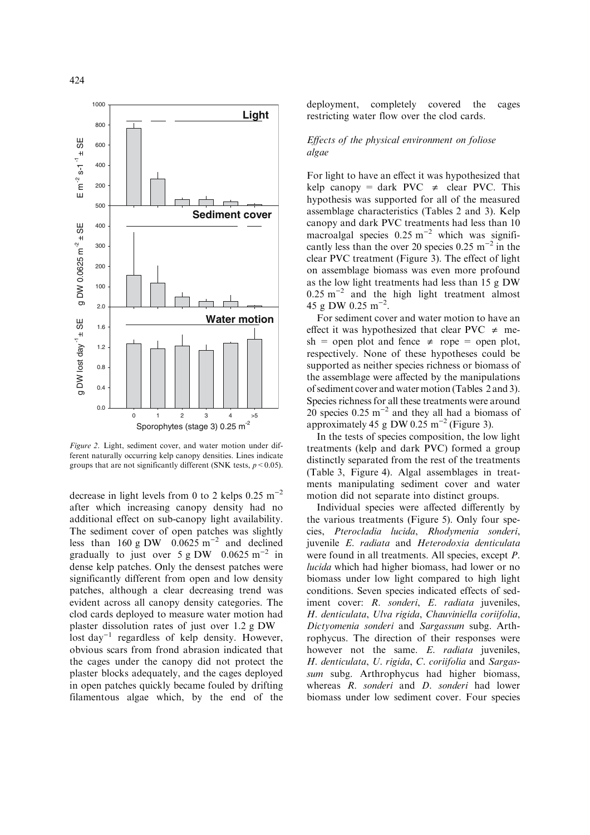

Figure 2. Light, sediment cover, and water motion under different naturally occurring kelp canopy densities. Lines indicate groups that are not significantly different (SNK tests,  $p \le 0.05$ ).

decrease in light levels from 0 to 2 kelps  $0.25 \text{ m}^{-2}$ after which increasing canopy density had no additional effect on sub-canopy light availability. The sediment cover of open patches was slightly less than 160 g DW  $0.0625 \text{ m}^{-2}$  and declined gradually to just over 5 g DW  $0.0625 \text{ m}^{-2}$  in dense kelp patches. Only the densest patches were significantly different from open and low density patches, although a clear decreasing trend was evident across all canopy density categories. The clod cards deployed to measure water motion had plaster dissolution rates of just over 1.2 g DW lost day<sup>-1</sup> regardless of kelp density. However, obvious scars from frond abrasion indicated that the cages under the canopy did not protect the plaster blocks adequately, and the cages deployed in open patches quickly became fouled by drifting filamentous algae which, by the end of the

deployment, completely covered the cages restricting water flow over the clod cards.

# Effects of the physical environment on foliose algae

For light to have an effect it was hypothesized that kelp canopy = dark PVC  $\neq$  clear PVC. This hypothesis was supported for all of the measured assemblage characteristics (Tables 2 and 3). Kelp canopy and dark PVC treatments had less than 10 macroalgal species  $0.25 \text{ m}^{-2}$  which was significantly less than the over 20 species  $0.25 \text{ m}^{-2}$  in the clear PVC treatment (Figure 3). The effect of light on assemblage biomass was even more profound as the low light treatments had less than 15 g DW  $0.25 \text{ m}^{-2}$  and the high light treatment almost 45 g DW  $0.25 \text{ m}^{-2}$ .

For sediment cover and water motion to have an effect it was hypothesized that clear PVC  $\neq$  me $sh = open plot and fence \neq rope = open plot,$ respectively. None of these hypotheses could be supported as neither species richness or biomass of the assemblage were affected by the manipulations of sediment cover and water motion (Tables 2 and 3). Species richness for all these treatments were around 20 species  $0.25 \text{ m}^{-2}$  and they all had a biomass of approximately 45 g DW 0.25  $\text{m}^{-2}$  (Figure 3).

In the tests of species composition, the low light treatments (kelp and dark PVC) formed a group distinctly separated from the rest of the treatments (Table 3, Figure 4). Algal assemblages in treatments manipulating sediment cover and water motion did not separate into distinct groups.

Individual species were affected differently by the various treatments (Figure 5). Only four species, Pterocladia lucida, Rhodymenia sonderi, juvenile E. radiata and Heterodoxia denticulata were found in all treatments. All species, except P. lucida which had higher biomass, had lower or no biomass under low light compared to high light conditions. Seven species indicated effects of sediment cover: R. sonderi, E. radiata juveniles, H. denticulata, Ulva rigida, Chauviniella coriifolia, Dictyomenia sonderi and Sargassum subg. Arthrophycus. The direction of their responses were however not the same. E. *radiata* juveniles, H. denticulata, U. rigida, C. coriifolia and Sargassum subg. Arthrophycus had higher biomass, whereas R. sonderi and D. sonderi had lower biomass under low sediment cover. Four species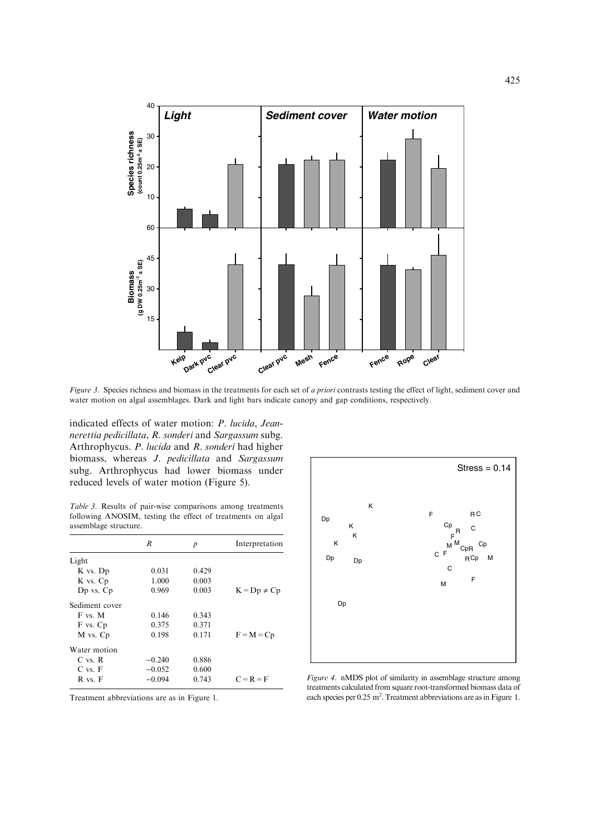

Figure 3. Species richness and biomass in the treatments for each set of a priori contrasts testing the effect of light, sediment cover and water motion on algal assemblages. Dark and light bars indicate canopy and gap conditions, respectively.

indicated effects of water motion: P. lucida, Jeannerettia pedicillata, R. sonderi and Sargassum subg. Arthrophycus. P. lucida and R. sonderi had higher biomass, whereas J. pedicillata and Sargassum subg. Arthrophycus had lower biomass under reduced levels of water motion (Figure 5).

Table 3. Results of pair-wise comparisons among treatments following ANOSIM, testing the effect of treatments on algal assemblage structure.

|                                   | R        | $\boldsymbol{p}$ | Interpretation   |
|-----------------------------------|----------|------------------|------------------|
| Light                             |          |                  |                  |
| K vs. Dp                          | 0.031    | 0.429            |                  |
| K vs. Cp                          | 1.000    | 0.003            |                  |
| D <sub>p</sub> vs. C <sub>p</sub> | 0.969    | 0.003            | $K = Dp \neq Cp$ |
| Sediment cover                    |          |                  |                  |
| F vs. M                           | 0.146    | 0.343            |                  |
| F vs. Cp                          | 0.375    | 0.371            |                  |
| M vs. Cp                          | 0.198    | 0.171            | $F = M = Cp$     |
| Water motion                      |          |                  |                  |
| C vs. R                           | $-0.240$ | 0.886            |                  |
| C vs. F                           | $-0.052$ | 0.600            |                  |
| R vs. F                           | $-0.094$ | 0.743            | $C = R = F$      |



Figure 4. nMDS plot of similarity in assemblage structure among treatments calculated from square root-transformed biomass data of each species per 0.25 m<sup>2</sup>. Treatment abbreviations are as in Figure 1.

Treatment abbreviations are as in Figure 1.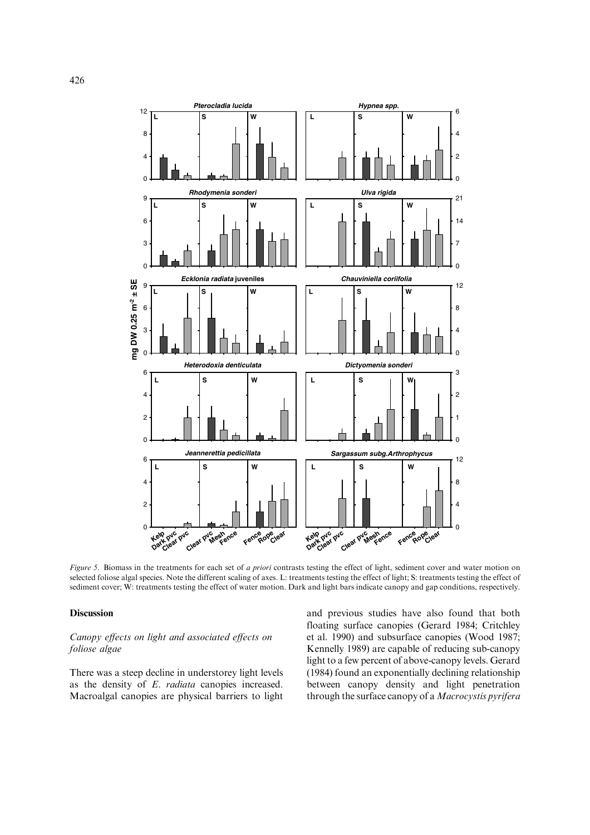

Figure 5. Biomass in the treatments for each set of a priori contrasts testing the effect of light, sediment cover and water motion on selected foliose algal species. Note the different scaling of axes. L: treatments testing the effect of light; S: treatments testing the effect of sediment cover; W: treatments testing the effect of water motion. Dark and light bars indicate canopy and gap conditions, respectively.

## **Discussion**

## Canopy effects on light and associated effects on foliose algae

There was a steep decline in understorey light levels as the density of E. radiata canopies increased. Macroalgal canopies are physical barriers to light and previous studies have also found that both floating surface canopies (Gerard 1984; Critchley et al. 1990) and subsurface canopies (Wood 1987; Kennelly 1989) are capable of reducing sub-canopy light to a few percent of above-canopy levels. Gerard (1984) found an exponentially declining relationship between canopy density and light penetration through the surface canopy of a Macrocystis pyrifera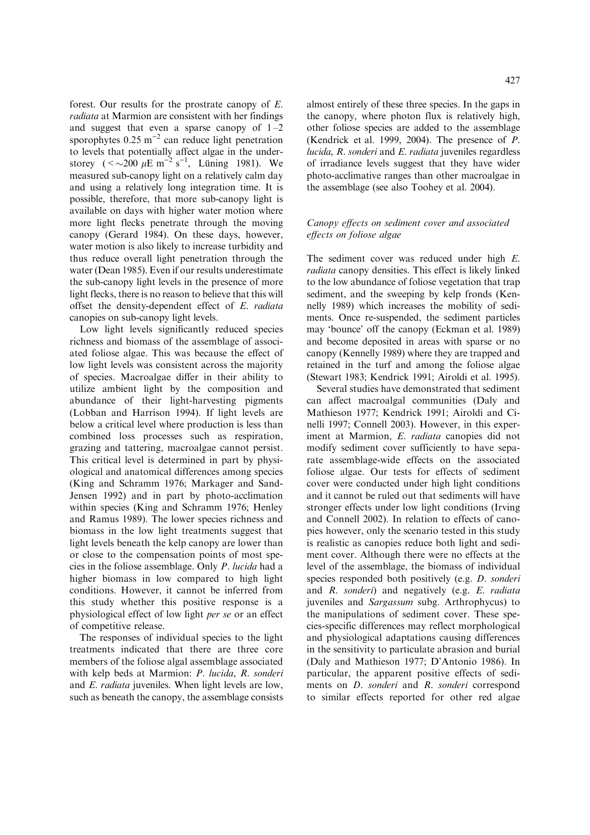forest. Our results for the prostrate canopy of E. radiata at Marmion are consistent with her findings and suggest that even a sparse canopy of  $1-2$ sporophytes  $0.25 \text{ m}^{-2}$  can reduce light penetration to levels that potentially affect algae in the understorey  $(<\sim 200 \mu E \text{ m}^{-2} \text{ s}^{-1}$ , Lüning 1981). We measured sub-canopy light on a relatively calm day and using a relatively long integration time. It is possible, therefore, that more sub-canopy light is available on days with higher water motion where more light flecks penetrate through the moving canopy (Gerard 1984). On these days, however, water motion is also likely to increase turbidity and thus reduce overall light penetration through the water (Dean 1985). Even if our results underestimate the sub-canopy light levels in the presence of more light flecks, there is no reason to believe that this will offset the density-dependent effect of E. radiata canopies on sub-canopy light levels.

Low light levels significantly reduced species richness and biomass of the assemblage of associated foliose algae. This was because the effect of low light levels was consistent across the majority of species. Macroalgae differ in their ability to utilize ambient light by the composition and abundance of their light-harvesting pigments (Lobban and Harrison 1994). If light levels are below a critical level where production is less than combined loss processes such as respiration, grazing and tattering, macroalgae cannot persist. This critical level is determined in part by physiological and anatomical differences among species (King and Schramm 1976; Markager and Sand-Jensen 1992) and in part by photo-acclimation within species (King and Schramm 1976; Henley and Ramus 1989). The lower species richness and biomass in the low light treatments suggest that light levels beneath the kelp canopy are lower than or close to the compensation points of most species in the foliose assemblage. Only P. lucida had a higher biomass in low compared to high light conditions. However, it cannot be inferred from this study whether this positive response is a physiological effect of low light per se or an effect of competitive release.

The responses of individual species to the light treatments indicated that there are three core members of the foliose algal assemblage associated with kelp beds at Marmion: P. lucida, R. sonderi and E. radiata juveniles. When light levels are low, such as beneath the canopy, the assemblage consists

almost entirely of these three species. In the gaps in the canopy, where photon flux is relatively high, other foliose species are added to the assemblage (Kendrick et al. 1999, 2004). The presence of  $P$ . lucida, R. sonderi and E. radiata juveniles regardless of irradiance levels suggest that they have wider photo-acclimative ranges than other macroalgae in the assemblage (see also Toohey et al. 2004).

# Canopy effects on sediment cover and associated effects on foliose algae

The sediment cover was reduced under high E. radiata canopy densities. This effect is likely linked to the low abundance of foliose vegetation that trap sediment, and the sweeping by kelp fronds (Kennelly 1989) which increases the mobility of sediments. Once re-suspended, the sediment particles may 'bounce' off the canopy (Eckman et al. 1989) and become deposited in areas with sparse or no canopy (Kennelly 1989) where they are trapped and retained in the turf and among the foliose algae (Stewart 1983; Kendrick 1991; Airoldi et al. 1995).

Several studies have demonstrated that sediment can affect macroalgal communities (Daly and Mathieson 1977; Kendrick 1991; Airoldi and Cinelli 1997; Connell 2003). However, in this experiment at Marmion, E. *radiata* canopies did not modify sediment cover sufficiently to have separate assemblage-wide effects on the associated foliose algae. Our tests for effects of sediment cover were conducted under high light conditions and it cannot be ruled out that sediments will have stronger effects under low light conditions (Irving and Connell 2002). In relation to effects of canopies however, only the scenario tested in this study is realistic as canopies reduce both light and sediment cover. Although there were no effects at the level of the assemblage, the biomass of individual species responded both positively (e.g. D. sonderi and R. sonderi) and negatively (e.g. E. radiata juveniles and Sargassum subg. Arthrophycus) to the manipulations of sediment cover. These species-specific differences may reflect morphological and physiological adaptations causing differences in the sensitivity to particulate abrasion and burial (Daly and Mathieson 1977; D'Antonio 1986). In particular, the apparent positive effects of sediments on *D. sonderi* and *R. sonderi* correspond to similar effects reported for other red algae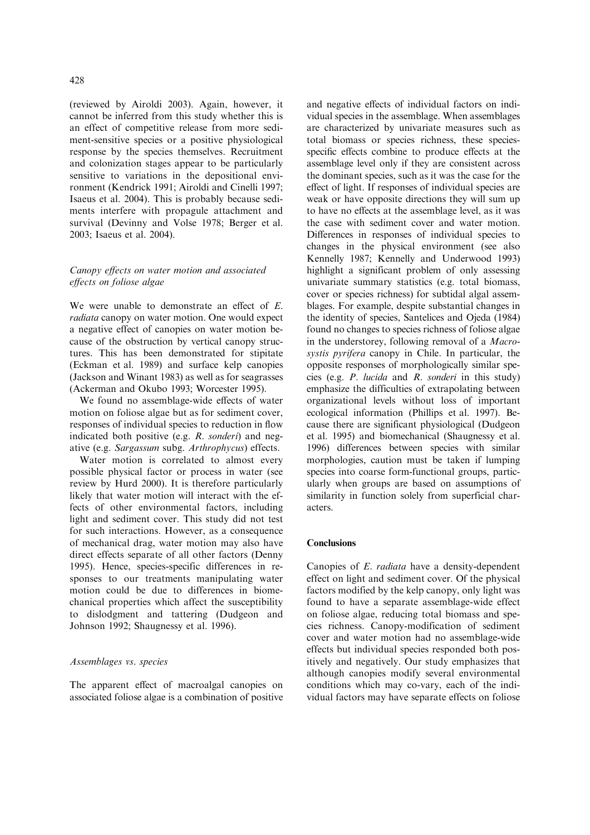(reviewed by Airoldi 2003). Again, however, it cannot be inferred from this study whether this is an effect of competitive release from more sediment-sensitive species or a positive physiological response by the species themselves. Recruitment and colonization stages appear to be particularly sensitive to variations in the depositional environment (Kendrick 1991; Airoldi and Cinelli 1997; Isaeus et al. 2004). This is probably because sediments interfere with propagule attachment and survival (Devinny and Volse 1978; Berger et al. 2003; Isaeus et al. 2004).

# Canopy effects on water motion and associated effects on foliose algae

We were unable to demonstrate an effect of E. radiata canopy on water motion. One would expect a negative effect of canopies on water motion because of the obstruction by vertical canopy structures. This has been demonstrated for stipitate (Eckman et al. 1989) and surface kelp canopies (Jackson and Winant 1983) as well as for seagrasses (Ackerman and Okubo 1993; Worcester 1995).

We found no assemblage-wide effects of water motion on foliose algae but as for sediment cover, responses of individual species to reduction in flow indicated both positive (e.g. R. sonderi) and negative (e.g. Sargassum subg. Arthrophycus) effects.

Water motion is correlated to almost every possible physical factor or process in water (see review by Hurd 2000). It is therefore particularly likely that water motion will interact with the effects of other environmental factors, including light and sediment cover. This study did not test for such interactions. However, as a consequence of mechanical drag, water motion may also have direct effects separate of all other factors (Denny 1995). Hence, species-specific differences in responses to our treatments manipulating water motion could be due to differences in biomechanical properties which affect the susceptibility to dislodgment and tattering (Dudgeon and Johnson 1992; Shaugnessy et al. 1996).

#### Assemblages vs. species

The apparent effect of macroalgal canopies on associated foliose algae is a combination of positive and negative effects of individual factors on individual species in the assemblage. When assemblages are characterized by univariate measures such as total biomass or species richness, these speciesspecific effects combine to produce effects at the assemblage level only if they are consistent across the dominant species, such as it was the case for the effect of light. If responses of individual species are weak or have opposite directions they will sum up to have no effects at the assemblage level, as it was the case with sediment cover and water motion. Differences in responses of individual species to changes in the physical environment (see also Kennelly 1987; Kennelly and Underwood 1993) highlight a significant problem of only assessing univariate summary statistics (e.g. total biomass, cover or species richness) for subtidal algal assemblages. For example, despite substantial changes in the identity of species, Santelices and Ojeda (1984) found no changes to species richness of foliose algae in the understorey, following removal of a Macrosystis *pyrifera* canopy in Chile. In particular, the opposite responses of morphologically similar species (e.g.  $P$ . *lucida* and  $R$ . *sonderi* in this study) emphasize the difficulties of extrapolating between organizational levels without loss of important ecological information (Phillips et al. 1997). Because there are significant physiological (Dudgeon et al. 1995) and biomechanical (Shaugnessy et al. 1996) differences between species with similar morphologies, caution must be taken if lumping species into coarse form-functional groups, particularly when groups are based on assumptions of similarity in function solely from superficial characters.

#### **Conclusions**

Canopies of E. radiata have a density-dependent effect on light and sediment cover. Of the physical factors modified by the kelp canopy, only light was found to have a separate assemblage-wide effect on foliose algae, reducing total biomass and species richness. Canopy-modification of sediment cover and water motion had no assemblage-wide effects but individual species responded both positively and negatively. Our study emphasizes that although canopies modify several environmental conditions which may co-vary, each of the individual factors may have separate effects on foliose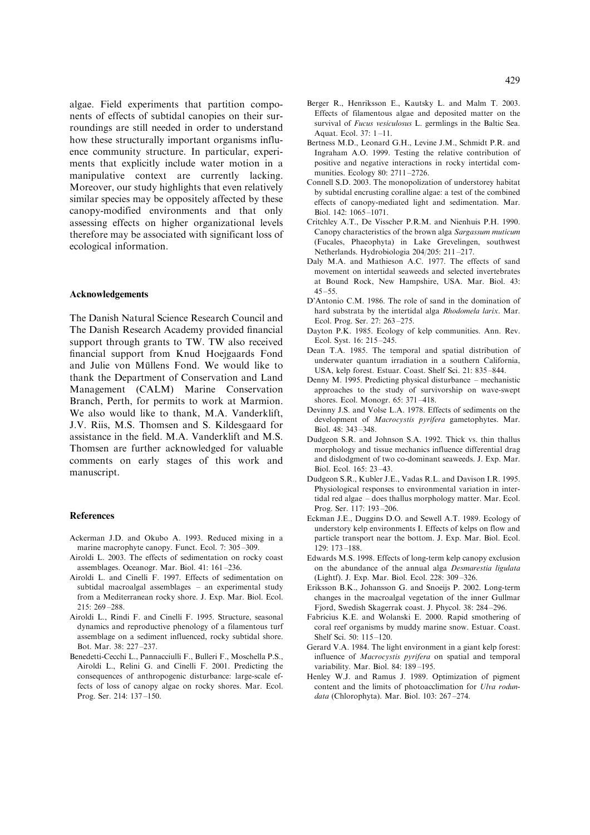algae. Field experiments that partition components of effects of subtidal canopies on their surroundings are still needed in order to understand how these structurally important organisms influence community structure. In particular, experiments that explicitly include water motion in a manipulative context are currently lacking. Moreover, our study highlights that even relatively similar species may be oppositely affected by these canopy-modified environments and that only assessing effects on higher organizational levels therefore may be associated with significant loss of ecological information.

#### Acknowledgements

The Danish Natural Science Research Council and The Danish Research Academy provided financial support through grants to TW. TW also received financial support from Knud Hoejgaards Fond and Julie von Müllens Fond. We would like to thank the Department of Conservation and Land Management (CALM) Marine Conservation Branch, Perth, for permits to work at Marmion. We also would like to thank, M.A. Vanderklift, J.V. Riis, M.S. Thomsen and S. Kildesgaard for assistance in the field. M.A. Vanderklift and M.S. Thomsen are further acknowledged for valuable comments on early stages of this work and manuscript.

## **References**

- Ackerman J.D. and Okubo A. 1993. Reduced mixing in a marine macrophyte canopy. Funct. Ecol. 7: 305 –309.
- Airoldi L. 2003. The effects of sedimentation on rocky coast assemblages. Oceanogr. Mar. Biol. 41: 161 –236.
- Airoldi L. and Cinelli F. 1997. Effects of sedimentation on subtidal macroalgal assemblages – an experimental study from a Mediterranean rocky shore. J. Exp. Mar. Biol. Ecol. 215: 269 –288.
- Airoldi L., Rindi F. and Cinelli F. 1995. Structure, seasonal dynamics and reproductive phenology of a filamentous turf assemblage on a sediment influenced, rocky subtidal shore. Bot. Mar. 38: 227 –237.
- Benedetti-Cecchi L., Pannacciulli F., Bulleri F., Moschella P.S., Airoldi L., Relini G. and Cinelli F. 2001. Predicting the consequences of anthropogenic disturbance: large-scale effects of loss of canopy algae on rocky shores. Mar. Ecol. Prog. Ser. 214: 137 –150.
- Berger R., Henriksson E., Kautsky L. and Malm T. 2003. Effects of filamentous algae and deposited matter on the survival of Fucus vesiculosus L. germlings in the Baltic Sea. Aquat. Ecol. 37: 1 –11.
- Bertness M.D., Leonard G.H., Levine J.M., Schmidt P.R. and Ingraham A.O. 1999. Testing the relative contribution of positive and negative interactions in rocky intertidal communities. Ecology 80: 2711 –2726.
- Connell S.D. 2003. The monopolization of understorey habitat by subtidal encrusting coralline algae: a test of the combined effects of canopy-mediated light and sedimentation. Mar. Biol. 142: 1065 –1071.
- Critchley A.T., De Visscher P.R.M. and Nienhuis P.H. 1990. Canopy characteristics of the brown alga Sargassum muticum (Fucales, Phaeophyta) in Lake Grevelingen, southwest Netherlands. Hydrobiologia 204/205: 211 –217.
- Daly M.A. and Mathieson A.C. 1977. The effects of sand movement on intertidal seaweeds and selected invertebrates at Bound Rock, New Hampshire, USA. Mar. Biol. 43:  $45 - 55$
- D'Antonio C.M. 1986. The role of sand in the domination of hard substrata by the intertidal alga Rhodomela larix. Mar. Ecol. Prog. Ser. 27: 263 –275.
- Dayton P.K. 1985. Ecology of kelp communities. Ann. Rev. Ecol. Syst. 16: 215 –245.
- Dean T.A. 1985. The temporal and spatial distribution of underwater quantum irradiation in a southern California, USA, kelp forest. Estuar. Coast. Shelf Sci. 21: 835 –844.
- Denny M. 1995. Predicting physical disturbance mechanistic approaches to the study of survivorship on wave-swept shores. Ecol. Monogr. 65: 371 –418.
- Devinny J.S. and Volse L.A. 1978. Effects of sediments on the development of Macrocystis pyrifera gametophytes. Mar. Biol. 48: 343 –348.
- Dudgeon S.R. and Johnson S.A. 1992. Thick vs. thin thallus morphology and tissue mechanics influence differential drag and dislodgment of two co-dominant seaweeds. J. Exp. Mar. Biol. Ecol. 165: 23 –43.
- Dudgeon S.R., Kubler J.E., Vadas R.L. and Davison I.R. 1995. Physiological responses to environmental variation in intertidal red algae – does thallus morphology matter. Mar. Ecol. Prog. Ser. 117: 193 –206.
- Eckman J.E., Duggins D.O. and Sewell A.T. 1989. Ecology of understory kelp environments I. Effects of kelps on flow and particle transport near the bottom. J. Exp. Mar. Biol. Ecol. 129: 173 –188.
- Edwards M.S. 1998. Effects of long-term kelp canopy exclusion on the abundance of the annual alga Desmarestia ligulata (Lightf). J. Exp. Mar. Biol. Ecol. 228: 309 –326.
- Eriksson B.K., Johansson G. and Snoeijs P. 2002. Long-term changes in the macroalgal vegetation of the inner Gullmar Fjord, Swedish Skagerrak coast. J. Phycol. 38: 284 –296.
- Fabricius K.E. and Wolanski E. 2000. Rapid smothering of coral reef organisms by muddy marine snow. Estuar. Coast. Shelf Sci. 50: 115 –120.
- Gerard V.A. 1984. The light environment in a giant kelp forest: influence of Macrocystis pyrifera on spatial and temporal variability. Mar. Biol. 84: 189 –195.
- Henley W.J. and Ramus J. 1989. Optimization of pigment content and the limits of photoacclimation for Ulva rodundata (Chlorophyta). Mar. Biol. 103: 267 –274.